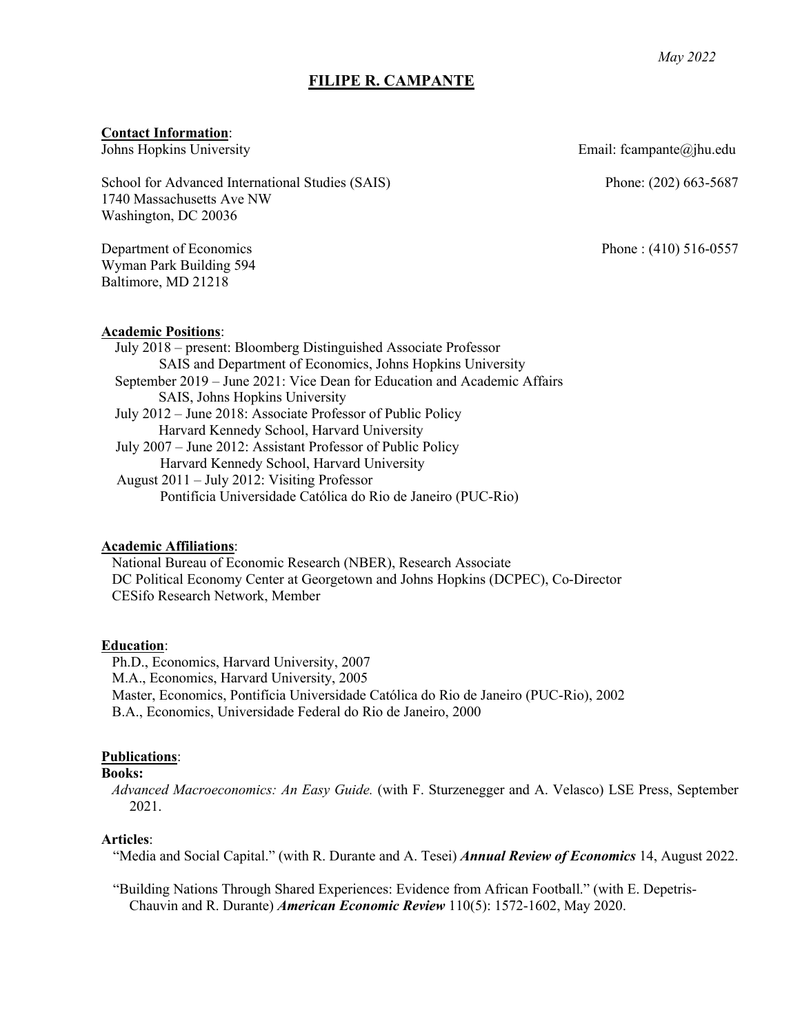## **FILIPE R. CAMPANTE**

#### **Contact Information**:

Johns Hopkins University

School for Advanced International Studies (SAIS) 1740 Massachusetts Ave NW Washington, DC 20036

Department of Economics Wyman Park Building 594 Baltimore, MD 21218

**Academic Positions**:

July 2018 – present: Bloomberg Distinguished Associate Professor SAIS and Department of Economics, Johns Hopkins University September 2019 – June 2021: Vice Dean for Education and Academic Affairs SAIS, Johns Hopkins University July 2012 – June 2018: Associate Professor of Public Policy Harvard Kennedy School, Harvard University July 2007 – June 2012: Assistant Professor of Public Policy Harvard Kennedy School, Harvard University August 2011 – July 2012: Visiting Professor Pontifícia Universidade Católica do Rio de Janeiro (PUC-Rio)

#### **Academic Affiliations**:

National Bureau of Economic Research (NBER), Research Associate DC Political Economy Center at Georgetown and Johns Hopkins (DCPEC), Co-Director CESifo Research Network, Member

#### **Education**:

Ph.D., Economics, Harvard University, 2007 M.A., Economics, Harvard University, 2005 Master, Economics, Pontifícia Universidade Católica do Rio de Janeiro (PUC-Rio), 2002 B.A., Economics, Universidade Federal do Rio de Janeiro, 2000

#### **Publications**:

### **Books:**

*Advanced Macroeconomics: An Easy Guide.* (with F. Sturzenegger and A. Velasco) LSE Press, September 2021.

#### **Articles**:

"Media and Social Capital." (with R. Durante and A. Tesei) *Annual Review of Economics* 14, August 2022.

"Building Nations Through Shared Experiences: Evidence from African Football." (with E. Depetris-Chauvin and R. Durante) *American Economic Review* 110(5): 1572-1602, May 2020.

Email: fcampante@jhu.edu

Phone: (202) 663-5687

Phone : (410) 516-0557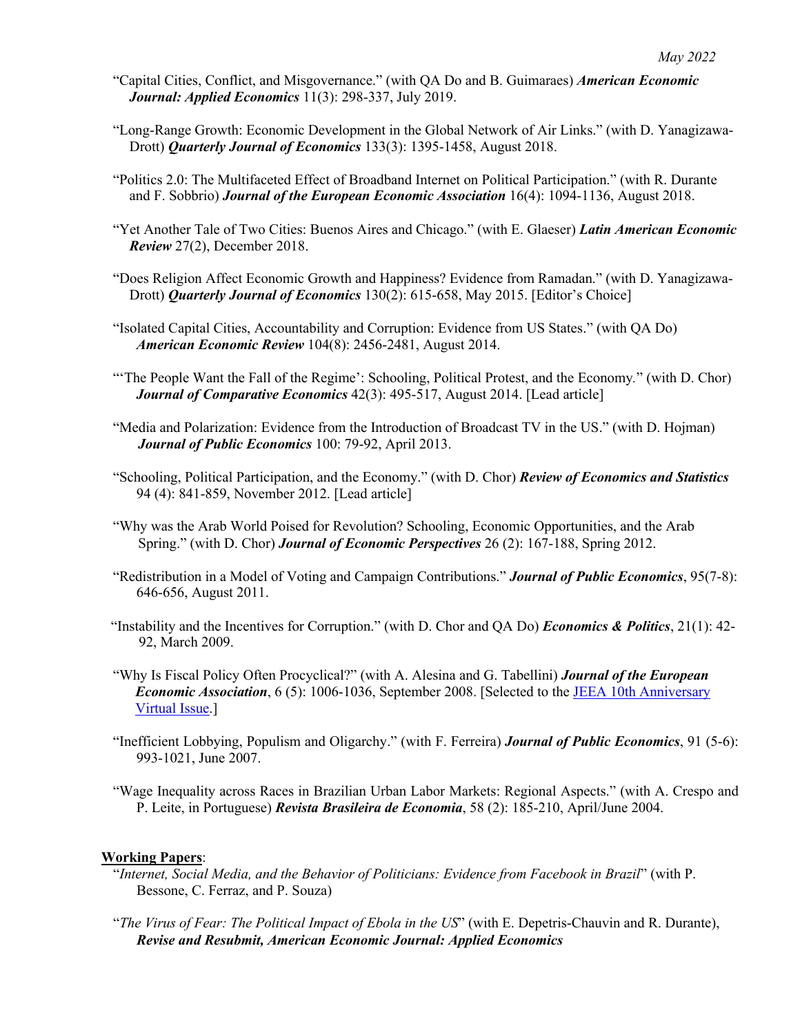- "Capital Cities, Conflict, and Misgovernance." (with QA Do and B. Guimaraes) *American Economic Journal: Applied Economics* 11(3): 298-337, July 2019.
- "Long-Range Growth: Economic Development in the Global Network of Air Links." (with D. Yanagizawa-Drott) *Quarterly Journal of Economics* 133(3): 1395-1458, August 2018.
- "Politics 2.0: The Multifaceted Effect of Broadband Internet on Political Participation." (with R. Durante and F. Sobbrio) *Journal of the European Economic Association* 16(4): 1094-1136, August 2018.
- "Yet Another Tale of Two Cities: Buenos Aires and Chicago." (with E. Glaeser) *Latin American Economic Review* 27(2), December 2018.
- "Does Religion Affect Economic Growth and Happiness? Evidence from Ramadan." (with D. Yanagizawa-Drott) *Quarterly Journal of Economics* 130(2): 615-658, May 2015. [Editor's Choice]
- "Isolated Capital Cities, Accountability and Corruption: Evidence from US States." (with QA Do) *American Economic Review* 104(8): 2456-2481, August 2014.
- "'The People Want the Fall of the Regime': Schooling, Political Protest, and the Economy*.*" (with D. Chor) *Journal of Comparative Economics* 42(3): 495-517, August 2014. [Lead article]
- "Media and Polarization: Evidence from the Introduction of Broadcast TV in the US." (with D. Hojman) *Journal of Public Economics* 100: 79-92, April 2013.
- "Schooling, Political Participation, and the Economy." (with D. Chor) *Review of Economics and Statistics* 94 (4): 841-859, November 2012. [Lead article]
- "Why was the Arab World Poised for Revolution? Schooling, Economic Opportunities, and the Arab Spring." (with D. Chor) *Journal of Economic Perspectives* 26 (2): 167-188, Spring 2012.
- "Redistribution in a Model of Voting and Campaign Contributions." *Journal of Public Economics*, 95(7-8): 646-656, August 2011.
- "Instability and the Incentives for Corruption." (with D. Chor and QA Do) *Economics & Politics*, 21(1): 42- 92, March 2009.
- "Why Is Fiscal Policy Often Procyclical?" (with A. Alesina and G. Tabellini) *Journal of the European Economic Association*, 6 (5): 1006-1036, September 2008. [Selected to the JEEA 10th Anniversary Virtual Issue.]
- "Inefficient Lobbying, Populism and Oligarchy." (with F. Ferreira) *Journal of Public Economics*, 91 (5-6): 993-1021, June 2007.
- "Wage Inequality across Races in Brazilian Urban Labor Markets: Regional Aspects." (with A. Crespo and P. Leite, in Portuguese) *Revista Brasileira de Economia*, 58 (2): 185-210, April/June 2004.

## **Working Papers**:

- "*Internet, Social Media, and the Behavior of Politicians: Evidence from Facebook in Brazil*" (with P. Bessone, C. Ferraz, and P. Souza)
- "*The Virus of Fear: The Political Impact of Ebola in the US*" (with E. Depetris-Chauvin and R. Durante), *Revise and Resubmit, American Economic Journal: Applied Economics*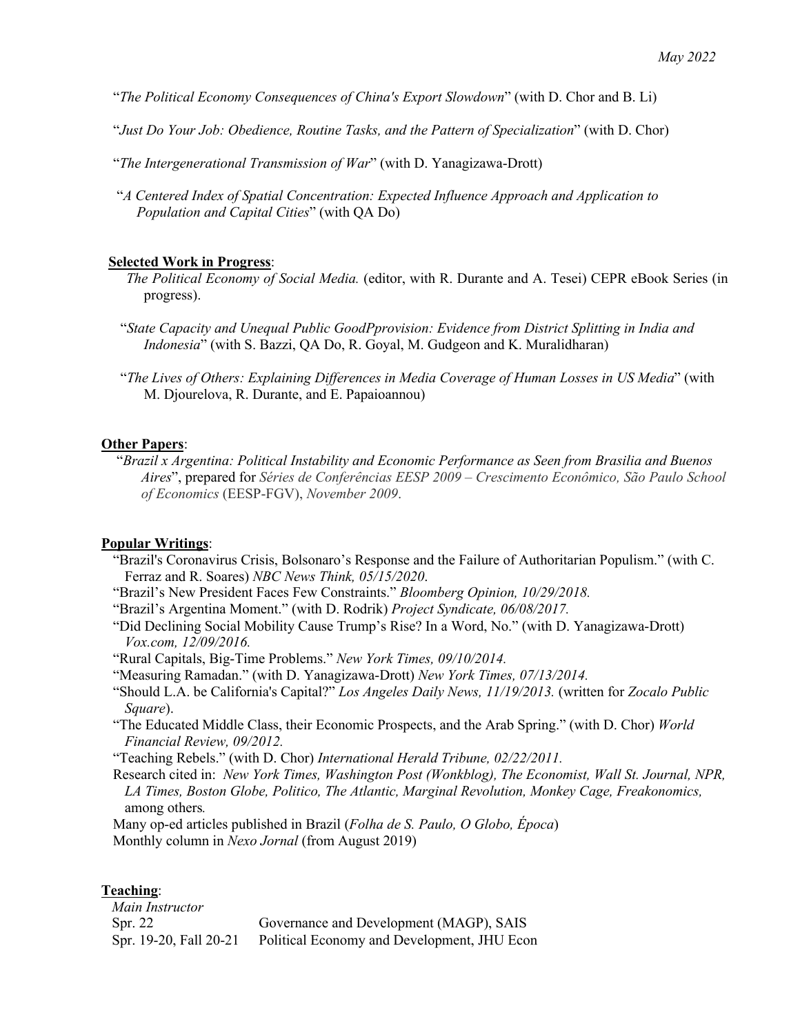"*The Political Economy Consequences of China's Export Slowdown*" (with D. Chor and B. Li)

"*Just Do Your Job: Obedience, Routine Tasks, and the Pattern of Specialization*" (with D. Chor)

"*The Intergenerational Transmission of War*" (with D. Yanagizawa-Drott)

"*A Centered Index of Spatial Concentration: Expected Influence Approach and Application to Population and Capital Cities*" (with QA Do)

#### **Selected Work in Progress**:

- *The Political Economy of Social Media.* (editor, with R. Durante and A. Tesei) CEPR eBook Series (in progress).
- "*State Capacity and Unequal Public GoodPprovision: Evidence from District Splitting in India and Indonesia*" (with S. Bazzi, QA Do, R. Goyal, M. Gudgeon and K. Muralidharan)
- "*The Lives of Others: Explaining Differences in Media Coverage of Human Losses in US Media*" (with M. Djourelova, R. Durante, and E. Papaioannou)

#### **Other Papers**:

"*Brazil x Argentina: Political Instability and Economic Performance as Seen from Brasilia and Buenos Aires*", prepared for *Séries de Conferências EESP 2009 – Crescimento Econômico, São Paulo School of Economics* (EESP-FGV), *November 2009*.

#### **Popular Writings**:

- "Brazil's Coronavirus Crisis, Bolsonaro's Response and the Failure of Authoritarian Populism." (with C. Ferraz and R. Soares) *NBC News Think, 05/15/2020*.
- "Brazil's New President Faces Few Constraints." *Bloomberg Opinion, 10/29/2018.*
- "Brazil's Argentina Moment." (with D. Rodrik) *Project Syndicate, 06/08/2017.*
- "Did Declining Social Mobility Cause Trump's Rise? In a Word, No." (with D. Yanagizawa-Drott) *Vox.com, 12/09/2016.*
- "Rural Capitals, Big-Time Problems." *New York Times, 09/10/2014.*
- "Measuring Ramadan." (with D. Yanagizawa-Drott) *New York Times, 07/13/2014.*
- "Should L.A. be California's Capital?" *Los Angeles Daily News, 11/19/2013.* (written for *Zocalo Public Square*).
- "The Educated Middle Class, their Economic Prospects, and the Arab Spring." (with D. Chor) *World Financial Review, 09/2012.*
- "Teaching Rebels." (with D. Chor) *International Herald Tribune, 02/22/2011.*
- Research cited in: *New York Times, Washington Post (Wonkblog), The Economist, Wall St. Journal, NPR, LA Times, Boston Globe, Politico, The Atlantic, Marginal Revolution, Monkey Cage, Freakonomics,* among others*.*

Many op-ed articles published in Brazil (*Folha de S. Paulo, O Globo, Época*) Monthly column in *Nexo Jornal* (from August 2019)

## **Teaching**:

*Main Instructor* Spr. 22 Spr. 19-20, Fall 20-21 Governance and Development (MAGP), SAIS Political Economy and Development, JHU Econ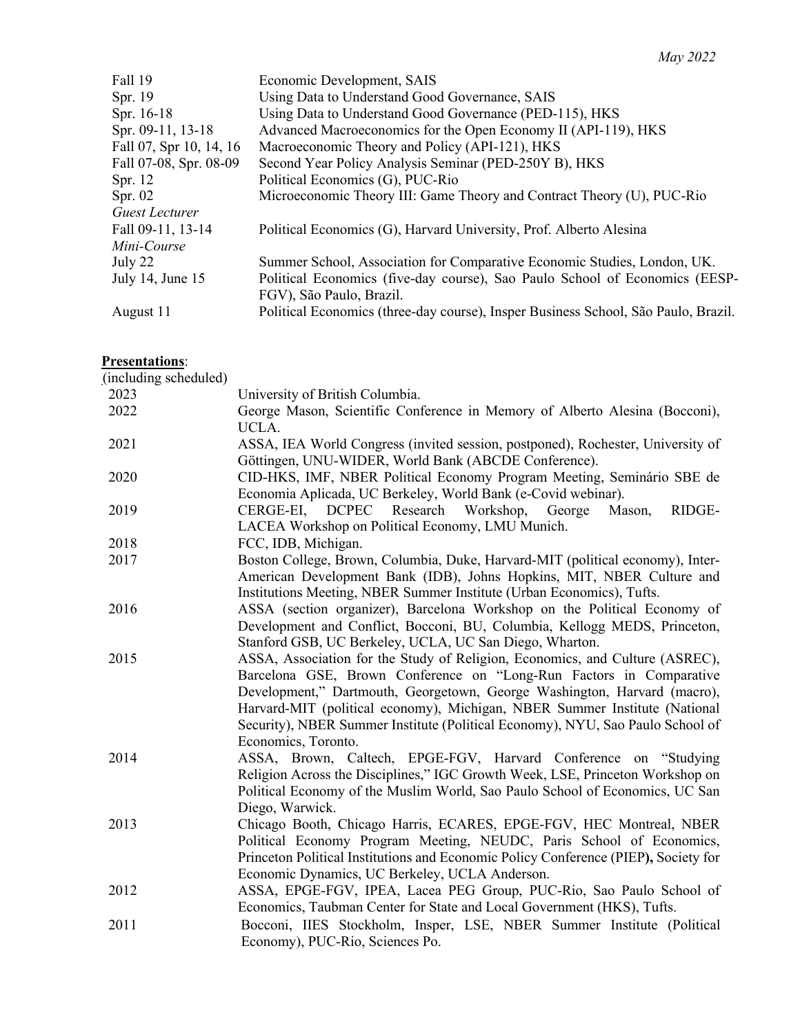| Economic Development, SAIS                                                                              |
|---------------------------------------------------------------------------------------------------------|
| Using Data to Understand Good Governance, SAIS                                                          |
| Using Data to Understand Good Governance (PED-115), HKS                                                 |
| Advanced Macroeconomics for the Open Economy II (API-119), HKS                                          |
| Macroeconomic Theory and Policy (API-121), HKS                                                          |
| Second Year Policy Analysis Seminar (PED-250Y B), HKS                                                   |
| Political Economics (G), PUC-Rio                                                                        |
| Microeconomic Theory III: Game Theory and Contract Theory (U), PUC-Rio                                  |
|                                                                                                         |
| Political Economics (G), Harvard University, Prof. Alberto Alesina                                      |
|                                                                                                         |
| Summer School, Association for Comparative Economic Studies, London, UK.                                |
| Political Economics (five-day course), Sao Paulo School of Economics (EESP-<br>FGV), São Paulo, Brazil. |
| Political Economics (three-day course), Insper Business School, São Paulo, Brazil.                      |
|                                                                                                         |

# **Presentations**:

| (including scheduled) |                                                                                                                                                                                                                                                                                                                                                                                                                        |
|-----------------------|------------------------------------------------------------------------------------------------------------------------------------------------------------------------------------------------------------------------------------------------------------------------------------------------------------------------------------------------------------------------------------------------------------------------|
| 2023                  | University of British Columbia.                                                                                                                                                                                                                                                                                                                                                                                        |
| 2022                  | George Mason, Scientific Conference in Memory of Alberto Alesina (Bocconi),<br>UCLA.                                                                                                                                                                                                                                                                                                                                   |
| 2021                  | ASSA, IEA World Congress (invited session, postponed), Rochester, University of<br>Göttingen, UNU-WIDER, World Bank (ABCDE Conference).                                                                                                                                                                                                                                                                                |
| 2020                  | CID-HKS, IMF, NBER Political Economy Program Meeting, Seminário SBE de<br>Economia Aplicada, UC Berkeley, World Bank (e-Covid webinar).                                                                                                                                                                                                                                                                                |
| 2019                  | <b>DCPEC</b><br>Research<br>RIDGE-<br>CERGE-EI,<br>Workshop,<br>George<br>Mason,<br>LACEA Workshop on Political Economy, LMU Munich.                                                                                                                                                                                                                                                                                   |
| 2018                  | FCC, IDB, Michigan.                                                                                                                                                                                                                                                                                                                                                                                                    |
| 2017                  | Boston College, Brown, Columbia, Duke, Harvard-MIT (political economy), Inter-<br>American Development Bank (IDB), Johns Hopkins, MIT, NBER Culture and<br>Institutions Meeting, NBER Summer Institute (Urban Economics), Tufts.                                                                                                                                                                                       |
| 2016                  | ASSA (section organizer), Barcelona Workshop on the Political Economy of<br>Development and Conflict, Bocconi, BU, Columbia, Kellogg MEDS, Princeton,<br>Stanford GSB, UC Berkeley, UCLA, UC San Diego, Wharton.                                                                                                                                                                                                       |
| 2015                  | ASSA, Association for the Study of Religion, Economics, and Culture (ASREC),<br>Barcelona GSE, Brown Conference on "Long-Run Factors in Comparative<br>Development," Dartmouth, Georgetown, George Washington, Harvard (macro),<br>Harvard-MIT (political economy), Michigan, NBER Summer Institute (National<br>Security), NBER Summer Institute (Political Economy), NYU, Sao Paulo School of<br>Economics, Toronto. |
| 2014                  | ASSA, Brown, Caltech, EPGE-FGV, Harvard Conference on "Studying<br>Religion Across the Disciplines," IGC Growth Week, LSE, Princeton Workshop on<br>Political Economy of the Muslim World, Sao Paulo School of Economics, UC San<br>Diego, Warwick.                                                                                                                                                                    |
| 2013                  | Chicago Booth, Chicago Harris, ECARES, EPGE-FGV, HEC Montreal, NBER<br>Political Economy Program Meeting, NEUDC, Paris School of Economics,<br>Princeton Political Institutions and Economic Policy Conference (PIEP), Society for<br>Economic Dynamics, UC Berkeley, UCLA Anderson.                                                                                                                                   |
| 2012                  | ASSA, EPGE-FGV, IPEA, Lacea PEG Group, PUC-Rio, Sao Paulo School of<br>Economics, Taubman Center for State and Local Government (HKS), Tufts.                                                                                                                                                                                                                                                                          |
| 2011                  | Bocconi, IIES Stockholm, Insper, LSE, NBER Summer Institute (Political<br>Economy), PUC-Rio, Sciences Po.                                                                                                                                                                                                                                                                                                              |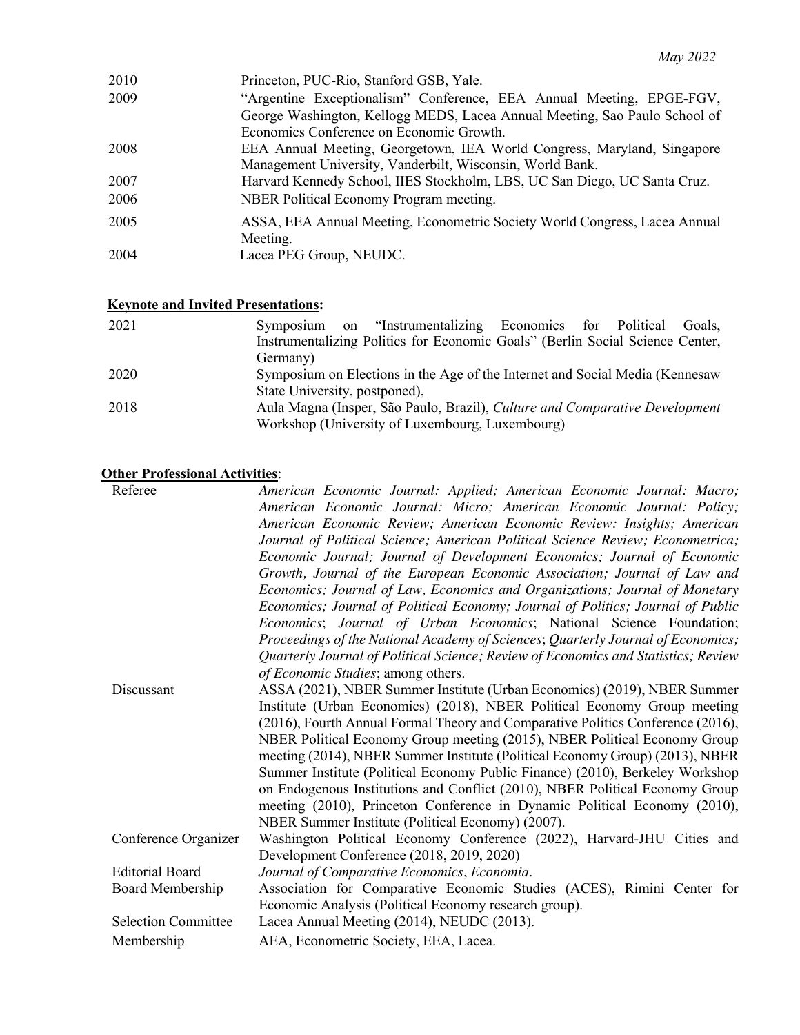| 2010 | Princeton, PUC-Rio, Stanford GSB, Yale.                                    |
|------|----------------------------------------------------------------------------|
| 2009 | "Argentine Exceptionalism" Conference, EEA Annual Meeting, EPGE-FGV,       |
|      | George Washington, Kellogg MEDS, Lacea Annual Meeting, Sao Paulo School of |
|      | Economics Conference on Economic Growth.                                   |
| 2008 | EEA Annual Meeting, Georgetown, IEA World Congress, Maryland, Singapore    |
|      | Management University, Vanderbilt, Wisconsin, World Bank.                  |
| 2007 | Harvard Kennedy School, IIES Stockholm, LBS, UC San Diego, UC Santa Cruz.  |
| 2006 | NBER Political Economy Program meeting.                                    |
| 2005 | ASSA, EEA Annual Meeting, Econometric Society World Congress, Lacea Annual |
|      | Meeting.                                                                   |
| 2004 | Lacea PEG Group, NEUDC.                                                    |
|      |                                                                            |

## **Keynote and Invited Presentations:**

| 2021 | Symposium on "Instrumentalizing Economics for Political Goals,                     |
|------|------------------------------------------------------------------------------------|
|      | Instrumentalizing Politics for Economic Goals" (Berlin Social Science Center,      |
|      | Germany)                                                                           |
| 2020 | Symposium on Elections in the Age of the Internet and Social Media (Kennesaw       |
|      | State University, postponed),                                                      |
| 2018 | Aula Magna (Insper, São Paulo, Brazil), <i>Culture and Comparative Development</i> |
|      | Workshop (University of Luxembourg, Luxembourg)                                    |

## **Other Professional Activities**:

| Referee                    | American Economic Journal: Applied; American Economic Journal: Macro;              |
|----------------------------|------------------------------------------------------------------------------------|
|                            | American Economic Journal: Micro; American Economic Journal: Policy;               |
|                            | American Economic Review; American Economic Review: Insights; American             |
|                            | Journal of Political Science; American Political Science Review; Econometrica;     |
|                            | Economic Journal; Journal of Development Economics; Journal of Economic            |
|                            | Growth, Journal of the European Economic Association; Journal of Law and           |
|                            | Economics; Journal of Law, Economics and Organizations; Journal of Monetary        |
|                            | Economics; Journal of Political Economy; Journal of Politics; Journal of Public    |
|                            | Economics; Journal of Urban Economics; National Science Foundation;                |
|                            | Proceedings of the National Academy of Sciences; Quarterly Journal of Economics;   |
|                            | Quarterly Journal of Political Science; Review of Economics and Statistics; Review |
|                            | of Economic Studies; among others.                                                 |
| Discussant                 | ASSA (2021), NBER Summer Institute (Urban Economics) (2019), NBER Summer           |
|                            | Institute (Urban Economics) (2018), NBER Political Economy Group meeting           |
|                            | (2016), Fourth Annual Formal Theory and Comparative Politics Conference (2016),    |
|                            | NBER Political Economy Group meeting (2015), NBER Political Economy Group          |
|                            | meeting (2014), NBER Summer Institute (Political Economy Group) (2013), NBER       |
|                            | Summer Institute (Political Economy Public Finance) (2010), Berkeley Workshop      |
|                            | on Endogenous Institutions and Conflict (2010), NBER Political Economy Group       |
|                            | meeting (2010), Princeton Conference in Dynamic Political Economy (2010),          |
|                            | NBER Summer Institute (Political Economy) (2007).                                  |
| Conference Organizer       | Washington Political Economy Conference (2022), Harvard-JHU Cities and             |
|                            | Development Conference (2018, 2019, 2020)                                          |
| <b>Editorial Board</b>     | Journal of Comparative Economics, Economia.                                        |
| Board Membership           | Association for Comparative Economic Studies (ACES), Rimini Center for             |
|                            | Economic Analysis (Political Economy research group).                              |
| <b>Selection Committee</b> | Lacea Annual Meeting (2014), NEUDC (2013).                                         |
| Membership                 | AEA, Econometric Society, EEA, Lacea.                                              |